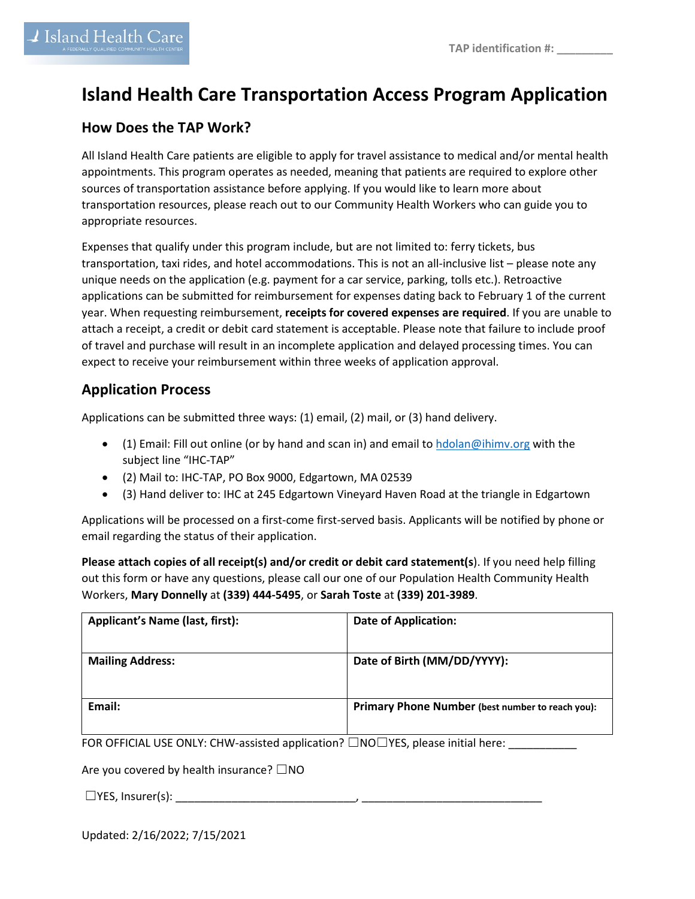## **Island Health Care Transportation Access Program Application**

## **How Does the TAP Work?**

All Island Health Care patients are eligible to apply for travel assistance to medical and/or mental health appointments. This program operates as needed, meaning that patients are required to explore other sources of transportation assistance before applying. If you would like to learn more about transportation resources, please reach out to our Community Health Workers who can guide you to appropriate resources.

Expenses that qualify under this program include, but are not limited to: ferry tickets, bus transportation, taxi rides, and hotel accommodations. This is not an all-inclusive list – please note any unique needs on the application (e.g. payment for a car service, parking, tolls etc.). Retroactive applications can be submitted for reimbursement for expenses dating back to February 1 of the current year. When requesting reimbursement, **receipts for covered expenses are required**. If you are unable to attach a receipt, a credit or debit card statement is acceptable. Please note that failure to include proof of travel and purchase will result in an incomplete application and delayed processing times. You can expect to receive your reimbursement within three weeks of application approval.

## **Application Process**

Applications can be submitted three ways: (1) email, (2) mail, or (3) hand delivery.

- (1) Email: Fill out online (or by hand and scan in) and email to [hdolan@ihimv.org](mailto:hdolan@ihimv.org) with the subject line "IHC-TAP"
- (2) Mail to: IHC-TAP, PO Box 9000, Edgartown, MA 02539
- (3) Hand deliver to: IHC at 245 Edgartown Vineyard Haven Road at the triangle in Edgartown

Applications will be processed on a first-come first-served basis. Applicants will be notified by phone or email regarding the status of their application.

**Please attach copies of all receipt(s) and/or credit or debit card statement(s**). If you need help filling out this form or have any questions, please call our one of our Population Health Community Health Workers, **Mary Donnelly** at **(339) 444-5495**, or **Sarah Toste** at **(339) 201-3989**.

| <b>Applicant's Name (last, first):</b>                                                      | <b>Date of Application:</b>                      |
|---------------------------------------------------------------------------------------------|--------------------------------------------------|
| <b>Mailing Address:</b>                                                                     | Date of Birth (MM/DD/YYYY):                      |
| Email:                                                                                      | Primary Phone Number (best number to reach you): |
| FOR OFFICIAL USE ONLY: CHW-assisted application? $\Box$ NO $\Box$ YES, please initial here: |                                                  |

OR OFFICIAL USE ONLY: CHW-assisted applicatio

Are you covered by health insurance?  $\square$ NO

☐YES, Insurer(s): \_\_\_\_\_\_\_\_\_\_\_\_\_\_\_\_\_\_\_\_\_\_\_\_\_\_\_\_\_, \_\_\_\_\_\_\_\_\_\_\_\_\_\_\_\_\_\_\_\_\_\_\_\_\_\_\_\_\_